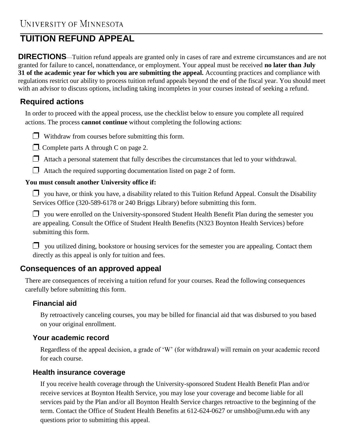## **TUITION REFUND APPEAL**

**DIRECTIONS**—Tuition refund appeals are granted only in cases of rare and extreme circumstances and are not granted for failure to cancel, nonattendance, or employment. Your appeal must be received **no later than July 31 of the academic year for which you are submitting the appeal.** Accounting practices and compliance with regulations restrict our ability to process tuition refund appeals beyond the end of the fiscal year. You should meet with an advisor to discuss options, including taking incompletes in your courses instead of seeking a refund.

## **Required actions**

In order to proceed with the appeal process, use the checklist below to ensure you complete all required actions. The process **cannot continue** without completing the following actions:

- $\Box$  Withdraw from courses before submitting this form.
- $\Box$ . Complete parts A through C on page 2.
- $\Box$  Attach a personal statement that fully describes the circumstances that led to your withdrawal.
- $\Box$  Attach the required supporting documentation listed on page 2 of form.

#### **You must consult another University office if:**

 $\Box$  you have, or think you have, a disability related to this Tuition Refund Appeal. Consult the Disability Services Office (320-589-6178 or 240 Briggs Library) before submitting this form.

 $\Box$  you were enrolled on the University-sponsored Student Health Benefit Plan during the semester you are appealing. Consult the Office of Student Health Benefits (N323 Boynton Health Services) before submitting this form.

 $\Box$  you utilized dining, bookstore or housing services for the semester you are appealing. Contact them directly as this appeal is only for tuition and fees.

### **Consequences of an approved appeal**

There are consequences of receiving a tuition refund for your courses. Read the following consequences carefully before submitting this form.

#### **Financial aid**

By retroactively canceling courses, you may be billed for financial aid that was disbursed to you based on your original enrollment.

#### **Your academic record**

Regardless of the appeal decision, a grade of 'W' (for withdrawal) will remain on your academic record for each course.

#### **Health insurance coverage**

If you receive health coverage through the University-sponsored Student Health Benefit Plan and/or receive services at Boynton Health Service, you may lose your coverage and become liable for all services paid by the Plan and/or all Boynton Health Service charges retroactive to the beginning of the term. Contact the Office of Student Health Benefits [at 612-624-0627 or umshbo@umn.edu](mailto:umshbo@umn.edu) with any questions prior to submitting this appeal.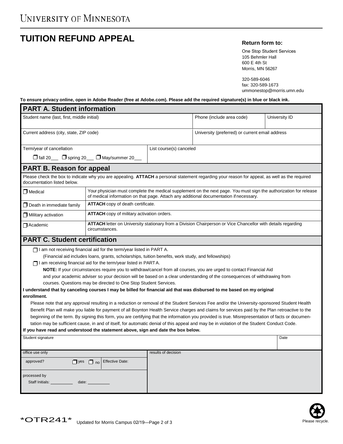# **TUITION REFUND APPEAL Return form to:**

One Stop Student Services 105 Behmler Hall 600 E 4th St Morris, MN 56267

320-589-6046 fax: 320-589-1673 ummonestop@morris.umn.edu

#### **To ensure privacy online, open in Adobe Reader (free at Adobe.com). Please add the required signature(s) in blue or black ink.**

| <b>PART A. Student information</b>                                                                                                                                                                                              |                                                                                                                                                                                                             |                         |                                                 |               |  |  |  |  |  |
|---------------------------------------------------------------------------------------------------------------------------------------------------------------------------------------------------------------------------------|-------------------------------------------------------------------------------------------------------------------------------------------------------------------------------------------------------------|-------------------------|-------------------------------------------------|---------------|--|--|--|--|--|
| Student name (last, first, middle initial)                                                                                                                                                                                      |                                                                                                                                                                                                             |                         | Phone (include area code)                       | University ID |  |  |  |  |  |
| Current address (city, state, ZIP code)                                                                                                                                                                                         |                                                                                                                                                                                                             |                         | University (preferred) or current email address |               |  |  |  |  |  |
| Term/year of cancellation                                                                                                                                                                                                       |                                                                                                                                                                                                             | List course(s) canceled |                                                 |               |  |  |  |  |  |
| □ fall 20 □ spring 20 □ May/summer 20                                                                                                                                                                                           |                                                                                                                                                                                                             |                         |                                                 |               |  |  |  |  |  |
| <b>PART B. Reason for appeal</b>                                                                                                                                                                                                |                                                                                                                                                                                                             |                         |                                                 |               |  |  |  |  |  |
| Please check the box to indicate why you are appealing. ATTACH a personal statement regarding your reason for appeal, as well as the required<br>documentation listed below.                                                    |                                                                                                                                                                                                             |                         |                                                 |               |  |  |  |  |  |
| $\Box$ Medical                                                                                                                                                                                                                  | Your physician must complete the medical supplement on the next page. You must sign the authorization for release<br>of medical information on that page. Attach any additional documentation if necessary. |                         |                                                 |               |  |  |  |  |  |
| $\Box$ Death in immediate family                                                                                                                                                                                                | <b>ATTACH</b> copy of death certificate.                                                                                                                                                                    |                         |                                                 |               |  |  |  |  |  |
| $\Box$ Military activation                                                                                                                                                                                                      | <b>ATTACH</b> copy of military activation orders.                                                                                                                                                           |                         |                                                 |               |  |  |  |  |  |
| Academic                                                                                                                                                                                                                        | ATTACH letter on University stationary from a Division Chairperson or Vice Chancellor with details regarding<br>circumstances.                                                                              |                         |                                                 |               |  |  |  |  |  |
| <b>PART C. Student certification</b>                                                                                                                                                                                            |                                                                                                                                                                                                             |                         |                                                 |               |  |  |  |  |  |
| $\Box$ I am not receiving financial aid for the term/year listed in PART A.                                                                                                                                                     |                                                                                                                                                                                                             |                         |                                                 |               |  |  |  |  |  |
| (Financial aid includes loans, grants, scholarships, tuition benefits, work study, and fellowships)                                                                                                                             |                                                                                                                                                                                                             |                         |                                                 |               |  |  |  |  |  |
| $\Box$ I am receiving financial aid for the term/year listed in PARTA.                                                                                                                                                          |                                                                                                                                                                                                             |                         |                                                 |               |  |  |  |  |  |
| NOTE: If your circumstances require you to withdraw/cancel from all courses, you are urged to contact Financial Aid                                                                                                             |                                                                                                                                                                                                             |                         |                                                 |               |  |  |  |  |  |
| and your academic adviser so your decision will be based on a clear understanding of the consequences of withdrawing from                                                                                                       |                                                                                                                                                                                                             |                         |                                                 |               |  |  |  |  |  |
| courses. Questions may be directed to One Stop Student Services.                                                                                                                                                                |                                                                                                                                                                                                             |                         |                                                 |               |  |  |  |  |  |
| I understand that by canceling courses I may be billed for financial aid that was disbursed to me based on my original                                                                                                          |                                                                                                                                                                                                             |                         |                                                 |               |  |  |  |  |  |
| enrollment.                                                                                                                                                                                                                     |                                                                                                                                                                                                             |                         |                                                 |               |  |  |  |  |  |
| Please note that any approval resulting in a reduction or removal of the Student Services Fee and/or the University-sponsored Student Health                                                                                    |                                                                                                                                                                                                             |                         |                                                 |               |  |  |  |  |  |
| Benefit Plan will make you liable for payment of all Boynton Health Service charges and claims for services paid by the Plan retroactive to the                                                                                 |                                                                                                                                                                                                             |                         |                                                 |               |  |  |  |  |  |
| beginning of the term. By signing this form, you are certifying that the information you provided is true. Misrepresentation of facts or documen-                                                                               |                                                                                                                                                                                                             |                         |                                                 |               |  |  |  |  |  |
| tation may be sufficient cause, in and of itself, for automatic denial of this appeal and may be in violation of the Student Conduct Code.<br>If you have read and understood the statement above, sign and date the box below. |                                                                                                                                                                                                             |                         |                                                 |               |  |  |  |  |  |
|                                                                                                                                                                                                                                 |                                                                                                                                                                                                             |                         |                                                 |               |  |  |  |  |  |
| Student signature                                                                                                                                                                                                               |                                                                                                                                                                                                             |                         |                                                 | Date          |  |  |  |  |  |
| office use only                                                                                                                                                                                                                 |                                                                                                                                                                                                             | results of decision     |                                                 |               |  |  |  |  |  |
| approved?                                                                                                                                                                                                                       | $\Box$ yes $\Box$ no Effective Date:                                                                                                                                                                        |                         |                                                 |               |  |  |  |  |  |
| processed by                                                                                                                                                                                                                    |                                                                                                                                                                                                             |                         |                                                 |               |  |  |  |  |  |
| Staff Initials:<br>date:                                                                                                                                                                                                        |                                                                                                                                                                                                             |                         |                                                 |               |  |  |  |  |  |